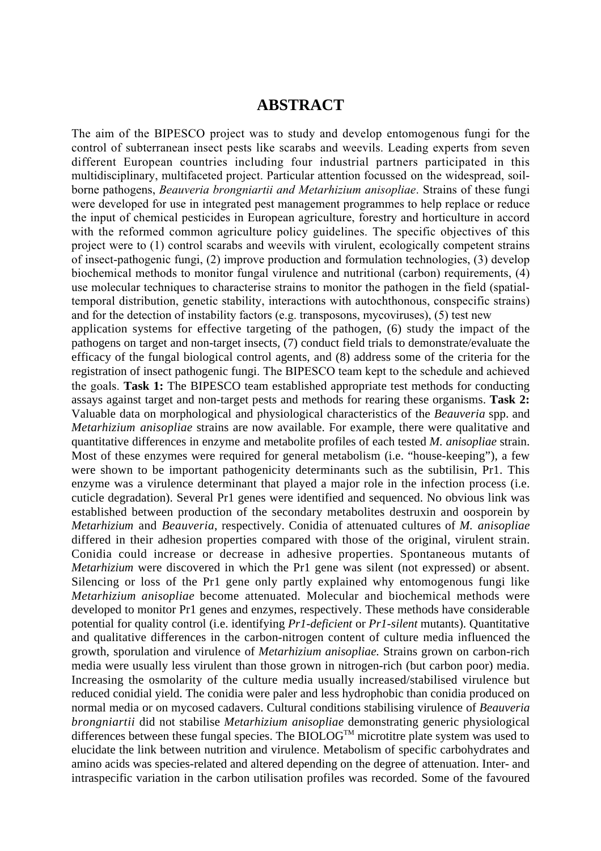## **ABSTRACT**

The aim of the BIPESCO project was to study and develop entomogenous fungi for the control of subterranean insect pests like scarabs and weevils. Leading experts from seven different European countries including four industrial partners participated in this multidisciplinary, multifaceted project. Particular attention focussed on the widespread, soilborne pathogens, *Beauveria brongniartii and Metarhizium anisopliae*. Strains of these fungi were developed for use in integrated pest management programmes to help replace or reduce the input of chemical pesticides in European agriculture, forestry and horticulture in accord with the reformed common agriculture policy guidelines. The specific objectives of this project were to (1) control scarabs and weevils with virulent, ecologically competent strains of insect-pathogenic fungi, (2) improve production and formulation technologies, (3) develop biochemical methods to monitor fungal virulence and nutritional (carbon) requirements, (4) use molecular techniques to characterise strains to monitor the pathogen in the field (spatialtemporal distribution, genetic stability, interactions with autochthonous, conspecific strains) and for the detection of instability factors (e.g. transposons, mycoviruses), (5) test new application systems for effective targeting of the pathogen, (6) study the impact of the pathogens on target and non-target insects, (7) conduct field trials to demonstrate/evaluate the efficacy of the fungal biological control agents, and (8) address some of the criteria for the registration of insect pathogenic fungi. The BIPESCO team kept to the schedule and achieved the goals. **Task 1:** The BIPESCO team established appropriate test methods for conducting assays against target and non-target pests and methods for rearing these organisms. **Task 2:** Valuable data on morphological and physiological characteristics of the *Beauveria* spp. and *Metarhizium anisopliae* strains are now available. For example, there were qualitative and quantitative differences in enzyme and metabolite profiles of each tested *M. anisopliae* strain. Most of these enzymes were required for general metabolism (i.e. "house-keeping"), a few were shown to be important pathogenicity determinants such as the subtilisin, Pr1. This enzyme was a virulence determinant that played a major role in the infection process (i.e. cuticle degradation). Several Pr1 genes were identified and sequenced. No obvious link was established between production of the secondary metabolites destruxin and oosporein by *Metarhizium* and *Beauveria*, respectively. Conidia of attenuated cultures of *M. anisopliae* differed in their adhesion properties compared with those of the original, virulent strain. Conidia could increase or decrease in adhesive properties. Spontaneous mutants of *Metarhizium* were discovered in which the Pr1 gene was silent (not expressed) or absent. Silencing or loss of the Pr1 gene only partly explained why entomogenous fungi like *Metarhizium anisopliae* become attenuated. Molecular and biochemical methods were developed to monitor Pr1 genes and enzymes, respectively. These methods have considerable potential for quality control (i.e. identifying *Pr1-deficient* or *Pr1-silent* mutants). Quantitative and qualitative differences in the carbon-nitrogen content of culture media influenced the growth, sporulation and virulence of *Metarhizium anisopliae.* Strains grown on carbon-rich media were usually less virulent than those grown in nitrogen-rich (but carbon poor) media. Increasing the osmolarity of the culture media usually increased/stabilised virulence but reduced conidial yield. The conidia were paler and less hydrophobic than conidia produced on normal media or on mycosed cadavers. Cultural conditions stabilising virulence of *Beauveria brongniartii* did not stabilise *Metarhizium anisopliae* demonstrating generic physiological differences between these fungal species. The  $BIOLOG^{TM}$  microtitre plate system was used to elucidate the link between nutrition and virulence. Metabolism of specific carbohydrates and amino acids was species-related and altered depending on the degree of attenuation. Inter- and intraspecific variation in the carbon utilisation profiles was recorded. Some of the favoured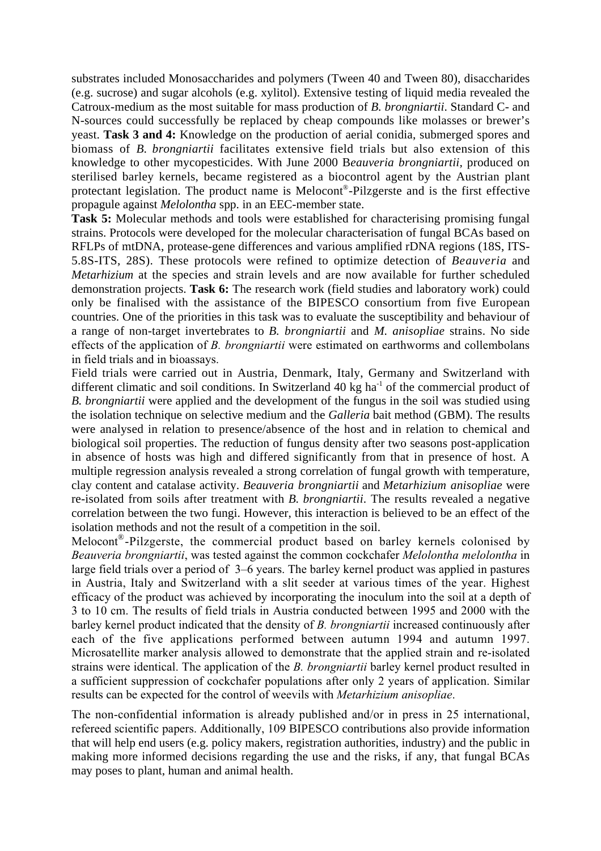substrates included Monosaccharides and polymers (Tween 40 and Tween 80), disaccharides (e.g. sucrose) and sugar alcohols (e.g. xylitol). Extensive testing of liquid media revealed the Catroux-medium as the most suitable for mass production of *B. brongniartii*. Standard C- and N-sources could successfully be replaced by cheap compounds like molasses or brewer's yeast. **Task 3 and 4:** Knowledge on the production of aerial conidia, submerged spores and biomass of *B. brongniartii* facilitates extensive field trials but also extension of this knowledge to other mycopesticides. With June 2000 B*eauveria brongniartii,* produced on sterilised barley kernels, became registered as a biocontrol agent by the Austrian plant protectant legislation. The product name is Melocont®-Pilzgerste and is the first effective propagule against *Melolontha* spp. in an EEC-member state.

**Task 5:** Molecular methods and tools were established for characterising promising fungal strains. Protocols were developed for the molecular characterisation of fungal BCAs based on RFLPs of mtDNA, protease-gene differences and various amplified rDNA regions (18S, ITS-5.8S-ITS, 28S). These protocols were refined to optimize detection of *Beauveria* and *Metarhizium* at the species and strain levels and are now available for further scheduled demonstration projects. **Task 6:** The research work (field studies and laboratory work) could only be finalised with the assistance of the BIPESCO consortium from five European countries. One of the priorities in this task was to evaluate the susceptibility and behaviour of a range of non-target invertebrates to *B. brongniartii* and *M. anisopliae* strains. No side effects of the application of *B. brongniartii* were estimated on earthworms and collembolans in field trials and in bioassays.

Field trials were carried out in Austria, Denmark, Italy, Germany and Switzerland with different climatic and soil conditions. In Switzerland  $40 \text{ kg}$  ha<sup>-1</sup> of the commercial product of *B. brongniartii* were applied and the development of the fungus in the soil was studied using the isolation technique on selective medium and the *Galleria* bait method (GBM). The results were analysed in relation to presence/absence of the host and in relation to chemical and biological soil properties. The reduction of fungus density after two seasons post-application in absence of hosts was high and differed significantly from that in presence of host. A multiple regression analysis revealed a strong correlation of fungal growth with temperature, clay content and catalase activity. *Beauveria brongniartii* and *Metarhizium anisopliae* were re-isolated from soils after treatment with *B. brongniartii*. The results revealed a negative correlation between the two fungi. However, this interaction is believed to be an effect of the isolation methods and not the result of a competition in the soil.

Melocont®-Pilzgerste, the commercial product based on barley kernels colonised by *Beauveria brongniartii*, was tested against the common cockchafer *Melolontha melolontha* in large field trials over a period of 3–6 years. The barley kernel product was applied in pastures in Austria, Italy and Switzerland with a slit seeder at various times of the year. Highest efficacy of the product was achieved by incorporating the inoculum into the soil at a depth of 3 to 10 cm. The results of field trials in Austria conducted between 1995 and 2000 with the barley kernel product indicated that the density of *B. brongniartii* increased continuously after each of the five applications performed between autumn 1994 and autumn 1997. Microsatellite marker analysis allowed to demonstrate that the applied strain and re-isolated strains were identical. The application of the *B. brongniartii* barley kernel product resulted in a sufficient suppression of cockchafer populations after only 2 years of application. Similar results can be expected for the control of weevils with *Metarhizium anisopliae*.

The non-confidential information is already published and/or in press in 25 international, refereed scientific papers. Additionally, 109 BIPESCO contributions also provide information that will help end users (e.g. policy makers, registration authorities, industry) and the public in making more informed decisions regarding the use and the risks, if any, that fungal BCAs may poses to plant, human and animal health.